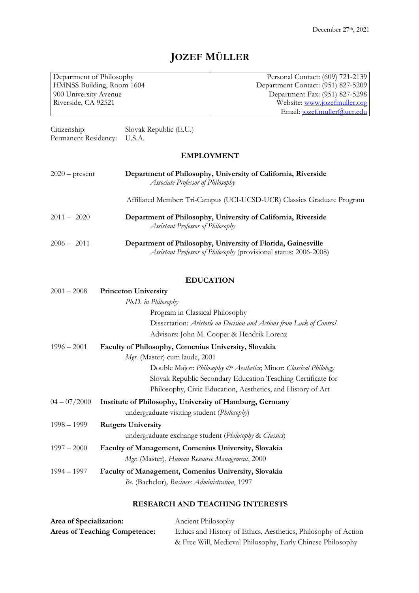# **JOZEF MÜLLER**

Department of Philosophy HMNSS Building, Room 1604 900 University Avenue Riverside, CA 92521

Personal Contact: (609) 721-2139 Department Contact: (951) 827-5209 Department Fax: (951) 827-5298 Website: www.jozefmuller.org Email: jozef.muller@ucr.edu

Citizenship: Slovak Republic (E.U.) Permanent Residency: U.S.A.

## **EMPLOYMENT**

| $2020$ – present | Department of Philosophy, University of California, Riverside<br>Associate Professor of Philosophy |  |
|------------------|----------------------------------------------------------------------------------------------------|--|
|                  | Affiliated Member: Tri-Campus (UCI-UCSD-UCR) Classics Graduate Program                             |  |
| $2011 - 2020$    | Department of Philosophy, University of California, Riverside<br>Assistant Professor of Philosophy |  |
| $2006 - 2011$    | Department of Philosophy, University of Florida, Gainesville                                       |  |

*Assistant Professor of Philosophy* (provisional status: 2006-2008)

## **EDUCATION**

| <b>Princeton University</b>                                          |  |
|----------------------------------------------------------------------|--|
| Ph.D. in Philosophy                                                  |  |
| Program in Classical Philosophy                                      |  |
| Dissertation: Aristotle on Decision and Actions from Lack of Control |  |
| Advisors: John M. Cooper & Hendrik Lorenz                            |  |
| Faculty of Philosophy, Comenius University, Slovakia                 |  |
| Mgr. (Master) cum laude, 2001                                        |  |
| Double Major: Philosophy & Aesthetics; Minor: Classical Philology    |  |
| Slovak Republic Secondary Education Teaching Certificate for         |  |
| Philosophy, Civic Education, Aesthetics, and History of Art          |  |
| Institute of Philosophy, University of Hamburg, Germany              |  |
| undergraduate visiting student (Philosophy)                          |  |
| <b>Rutgers University</b>                                            |  |
| undergraduate exchange student (Philosophy & Classics)               |  |
| Faculty of Management, Comenius University, Slovakia                 |  |
| Mgr. (Master), Human Resource Management, 2000                       |  |
| Faculty of Management, Comenius University, Slovakia                 |  |
| Bc. (Bachelor), Business Administration, 1997                        |  |
|                                                                      |  |

## **RESEARCH AND TEACHING INTERESTS**

| Area of Specialization:              | Ancient Philosophy                                             |
|--------------------------------------|----------------------------------------------------------------|
| <b>Areas of Teaching Competence:</b> | Ethics and History of Ethics, Aesthetics, Philosophy of Action |
|                                      | & Free Will, Medieval Philosophy, Early Chinese Philosophy     |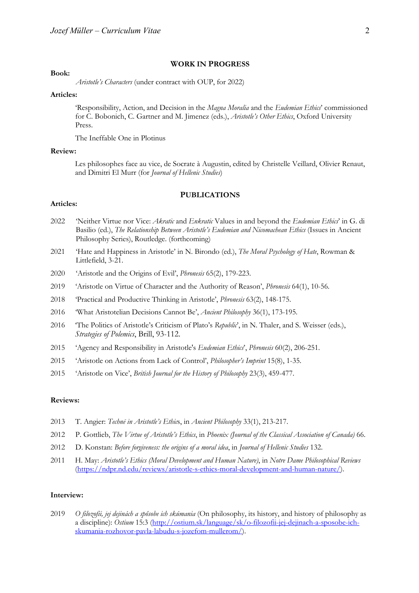#### **WORK IN PROGRESS**

#### **Book:**

*Aristotle's Characters* (under contract with OUP, for 2022)

#### **Articles:**

'Responsibility, Action, and Decision in the *Magna Moralia* and the *Eudemian Ethics*' commissioned for C. Bobonich, C. Gartner and M. Jimenez (eds.), *Aristotle's Other Ethics*, Oxford University Press.

The Ineffable One in Plotinus

#### **Review:**

Les philosophes face au vice, de Socrate à Augustin, edited by Christelle Veillard, Olivier Renaut, and Dimitri El Murr (for *Journal of Hellenic Studies*)

#### **PUBLICATIONS**

## **Articles:**

- 2022 'Neither Virtue nor Vice: *Akratic* and *Enkratic* Values in and beyond the *Eudemian Ethics*' in G. di Basilio (ed.), *The Relationship Between Aristotle's Eudemian and Nicomachean Ethics* (Issues in Ancient Philosophy Series), Routledge. (forthcoming)
- 2021 'Hate and Happiness in Aristotle' in N. Birondo (ed.), *The Moral Psychology of Hate*, Rowman & Littlefield, 3-21.
- 2020 'Aristotle and the Origins of Evil', *Phronesis* 65(2), 179-223.
- 2019 'Aristotle on Virtue of Character and the Authority of Reason', *Phronesis* 64(1), 10-56.
- 2018 'Practical and Productive Thinking in Aristotle', *Phronesis* 63(2), 148-175.
- 2016 'What Aristotelian Decisions Cannot Be', *Ancient Philosophy* 36(1), 173-195.
- 2016 'The Politics of Aristotle's Criticism of Plato's *Republic*', in N. Thaler, and S. Weisser (eds.), *Strategies of Polemics*, Brill, 93-112.
- 2015 'Agency and Responsibility in Aristotle's *Eudemian Ethics*', *Phronesis* 60(2), 206-251.
- 2015 'Aristotle on Actions from Lack of Control', *Philosopher's Imprint* 15(8), 1-35.
- 2015 'Aristotle on Vice', *British Journal for the History of Philosophy* 23(3), 459-477.

## **Reviews:**

- 2013 T. Angier: *Technē in Aristotle's Ethic*s, in *Ancient Philosophy* 33(1), 213-217.
- 2012 P. Gottlieb, *The Virtue of Aristotle's Ethics*, in *Phoenix (Journal of the Classical Association of Canada)* 66.
- 2012 D. Konstan: *Before forgiveness: the origins of a moral idea*, in *Journal of Hellenic Studies* 132.
- 2011 H. May: *Aristotle's Ethics (Moral Development and Human Nature)*, in *Notre Dame Philosophical Reviews* (https://ndpr.nd.edu/reviews/aristotle-s-ethics-moral-development-and-human-nature/).

#### **Interview:**

2019 *O filozofii, jej dejinách a spôsobe ich skúmania* (On philosophy, its history, and history of philosophy as a discipline): *Ostium* 15:3 (http://ostium.sk/language/sk/o-filozofii-jej-dejinach-a-sposobe-ichskumania-rozhovor-pavla-labudu-s-jozefom-mullerom/).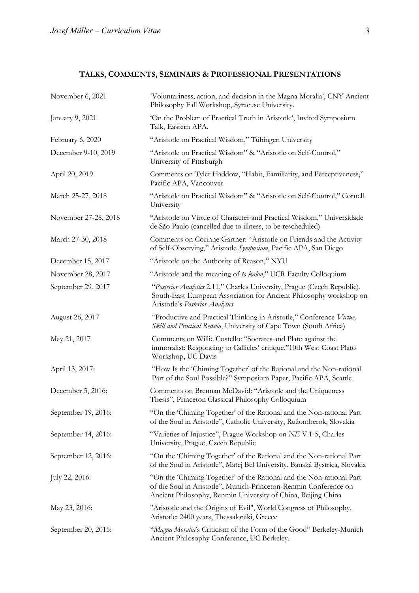## **TALKS, COMMENTS, SEMINARS & PROFESSIONAL PRESENTATIONS**

| November 6, 2021     | 'Voluntariness, action, and decision in the Magna Moralia', CNY Ancient<br>Philosophy Fall Workshop, Syracuse University.                                                                                 |  |
|----------------------|-----------------------------------------------------------------------------------------------------------------------------------------------------------------------------------------------------------|--|
| January 9, 2021      | 'On the Problem of Practical Truth in Aristotle', Invited Symposium<br>Talk, Eastern APA.                                                                                                                 |  |
| February 6, 2020     | "Aristotle on Practical Wisdom," Tübingen University                                                                                                                                                      |  |
| December 9-10, 2019  | "Aristotle on Practical Wisdom" & "Aristotle on Self-Control,"<br>University of Pittsburgh                                                                                                                |  |
| April 20, 2019       | Comments on Tyler Haddow, "Habit, Familiarity, and Perceptiveness,"<br>Pacific APA, Vancouver                                                                                                             |  |
| March 25-27, 2018    | "Aristotle on Practical Wisdom" & "Aristotle on Self-Control," Cornell<br>University                                                                                                                      |  |
| November 27-28, 2018 | "Aristotle on Virtue of Character and Practical Wisdom," Universidade<br>de São Paulo (cancelled due to illness, to be rescheduled)                                                                       |  |
| March 27-30, 2018    | Comments on Corinne Gartner: "Aristotle on Friends and the Activity<br>of Self-Observing," Aristotle Symposium, Pacific APA, San Diego                                                                    |  |
| December 15, 2017    | "Aristotle on the Authority of Reason," NYU                                                                                                                                                               |  |
| November 28, 2017    | "Aristotle and the meaning of to kalon," UCR Faculty Colloquium                                                                                                                                           |  |
| September 29, 2017   | "Posterior Analytics 2.11," Charles University, Prague (Czech Republic),<br>South-East European Association for Ancient Philosophy workshop on<br>Aristotle's Posterior Analytics                         |  |
| August 26, 2017      | "Productive and Practical Thinking in Aristotle," Conference Virtue,<br>Skill and Practical Reason, University of Cape Town (South Africa)                                                                |  |
| May 21, 2017         | Comments on Willie Costello: "Socrates and Plato against the<br>immoralist: Responding to Callicles' critique,"10th West Coast Plato<br>Workshop, UC Davis                                                |  |
| April 13, 2017:      | "How Is the 'Chiming Together' of the Rational and the Non-rational<br>Part of the Soul Possible?" Symposium Paper, Pacific APA, Seattle                                                                  |  |
| December 5, 2016:    | Comments on Brennan McDavid: "Aristotle and the Uniqueness<br>Thesis", Princeton Classical Philosophy Colloquium                                                                                          |  |
| September 19, 2016:  | "On the 'Chiming Together' of the Rational and the Non-rational Part<br>of the Soul in Aristotle", Catholic University, Ružomberok, Slovakia                                                              |  |
| September 14, 2016:  | "Varieties of Injustice", Prague Workshop on NE V.1-5, Charles<br>University, Prague, Czech Republic                                                                                                      |  |
| September 12, 2016:  | "On the 'Chiming Together' of the Rational and the Non-rational Part<br>of the Soul in Aristotle", Matej Bel University, Banská Bystrica, Slovakia                                                        |  |
| July 22, 2016:       | "On the 'Chiming Together' of the Rational and the Non-rational Part<br>of the Soul in Aristotle", Munich-Princeton-Renmin Conference on<br>Ancient Philosophy, Renmin University of China, Beijing China |  |
| May 23, 2016:        | "Aristotle and the Origins of Evil", World Congress of Philosophy,<br>Aristotle: 2400 years, Thessaloniki, Greece                                                                                         |  |
| September 20, 2015:  | "Magna Moralia's Criticism of the Form of the Good" Berkeley-Munich<br>Ancient Philosophy Conference, UC Berkeley.                                                                                        |  |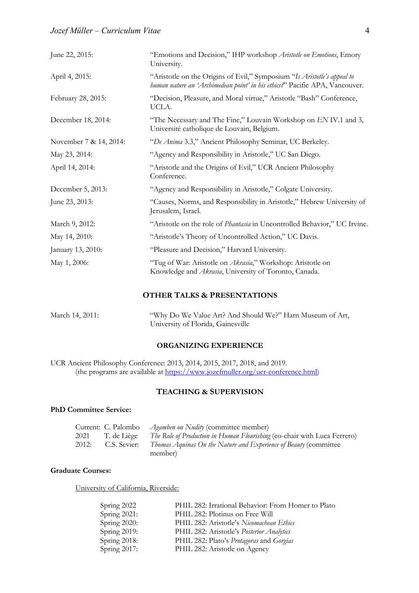| June 22, 2015:         | "Emotions and Decision," IHP workshop Aristotle on Emotions, Emory<br>University.                                                                      |  |
|------------------------|--------------------------------------------------------------------------------------------------------------------------------------------------------|--|
| April 4, 2015:         | "Aristotle on the Origins of Evil," Symposium "Is Aristotle's appeal to<br>human nature an 'Archimedean point' in his ethics?" Pacific APA, Vancouver. |  |
| February 28, 2015:     | "Decision, Pleasure, and Moral virtue," Aristotle "Bash" Conference,<br>UCLA.                                                                          |  |
| December 18, 2014:     | "The Necessary and The Fine," Louvain Workshop on EN IV.1 and 3,<br>Université catholique de Louvain, Belgium.                                         |  |
| November 7 & 14, 2014: | "De Anima 3.3," Ancient Philosophy Seminar, UC Berkeley.                                                                                               |  |
| May 23, 2014:          | "Agency and Responsibility in Aristotle," UC San Diego.                                                                                                |  |
| April 14, 2014:        | "Aristotle and the Origins of Evil," UCR Ancient Philosophy<br>Conference.                                                                             |  |
| December 5, 2013:      | "Agency and Responsibility in Aristotle," Colgate University.                                                                                          |  |
| June 23, 2013:         | "Causes, Norms, and Responsibility in Aristotle," Hebrew University of<br>Jerusalem, Israel.                                                           |  |
| March 9, 2012:         | "Aristotle on the role of <i>Phantasia</i> in Uncontrolled Behavior," UC Irvine.                                                                       |  |
| May 14, 2010:          | "Aristotle's Theory of Uncontrolled Action," UC Davis.                                                                                                 |  |
| January 13, 2010:      | "Pleasure and Decision," Harvard University.                                                                                                           |  |
| May 1, 2006:           | "Tug of War: Aristotle on Akrasia," Workshop: Aristotle on<br>Knowledge and Akrasia, University of Toronto, Canada.                                    |  |

## **OTHER TALKS & PRESENTATIONS**

| March 14, 2011: | "Why Do We Value Art? And Should We?" Harn Museum of Art, |
|-----------------|-----------------------------------------------------------|
|                 | University of Florida, Gainesville                        |

## **ORGANIZING EXPERIENCE**

UCR Ancient Philosophy Conference: 2013, 2014, 2015, 2017, 2018, and 2019. (the programs are available at https://www.jozefmuller.org/ucr-conference.html)

## **TEACHING & SUPERVISION**

## **PhD Committee Service:**

|       |              | Current: C. Palombo <i>Agamben on Nudity</i> (committee member)                 |
|-------|--------------|---------------------------------------------------------------------------------|
| 2021  | T. de Liège  | <i>The Role of Production in Human Flourishing</i> (co-chair with Luca Ferrero) |
| 2012: | C.S. Sevier: | Thomas Aquinas On the Nature and Experience of Beauty (committee<br>member)     |

## **Graduate Courses:**

University of California, Riverside:

| Spring 2022  | PHIL 282: Irrational Behavior: From Homer to Plato |
|--------------|----------------------------------------------------|
| Spring 2021: | PHIL 282: Plotinus on Free Will                    |
| Spring 2020: | PHIL 282: Aristotle's Nicomachean Ethics           |
| Spring 2019: | PHIL 282: Aristotle's Posterior Analytics          |
| Spring 2018: | PHIL 282: Plato's Protagoras and Gorgias           |
| Spring 2017: | PHIL 282: Aristotle on Agency                      |
|              |                                                    |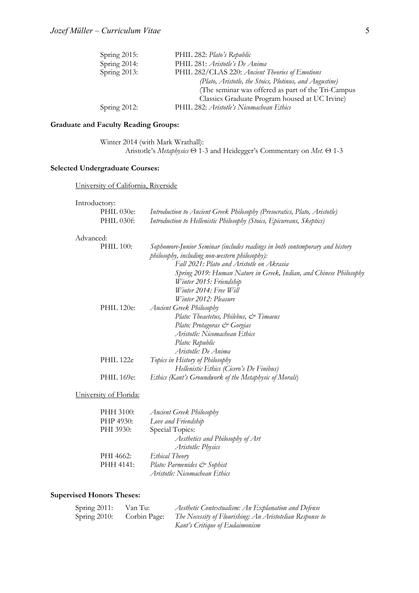| Spring 2015:    | PHIL 282: Plato's Republic                              |
|-----------------|---------------------------------------------------------|
| Spring 2014:    | PHIL 281: Aristotle's De Anima                          |
| Spring $2013$ : | PHIL 282/CLAS 220: Ancient Theories of Emotions         |
|                 | (Plato, Aristotle, the Stoics, Plotinus, and Augustine) |
|                 | (The seminar was offered as part of the Tri-Campus      |
|                 | Classics Graduate Program housed at UC Irvine)          |
| Spring $2012$ : | PHIL 282: Aristotle's Nicomachean Ethics                |
|                 |                                                         |

## **Graduate and Faculty Reading Groups:**

Winter 2014 (with Mark Wrathall): Aristotle's *Metaphysics* Θ 1-3 and Heidegger's Commentary on *Met.* Θ 1-3

## **Selected Undergraduate Courses:**

University of California, Riverside

#### Introductory:

| PHIL 030e:             | Introduction to Ancient Greek Philosophy (Presocratics, Plato, Aristotle)                                                      |
|------------------------|--------------------------------------------------------------------------------------------------------------------------------|
| PHIL 030f:             | Introduction to Hellenistic Philosophy (Stoics, Epicureans, Skeptics)                                                          |
| Advanced:              |                                                                                                                                |
| <b>PHIL 100:</b>       | Sophomore-Junior Seminar (includes readings in both contemporary and history<br>philosophy, including non-western philosophy): |
|                        | Fall 2021: Plato and Aristotle on Akrasia                                                                                      |
|                        | Spring 2019: Human Nature in Greek, Indian, and Chinese Philosophy                                                             |
|                        | Winter 2015: Friendship                                                                                                        |
|                        | Winter 2014: Free Will                                                                                                         |
|                        | <i>Winter 2012: Pleasure</i>                                                                                                   |
| PHIL 120e:             | <b>Ancient Greek Philosophy</b>                                                                                                |
|                        | Plato: Theaetetus, Philebus, & Timaeus                                                                                         |
|                        | Plato: Protagoras & Gorgias                                                                                                    |
|                        | Aristotle: Nicomachean Ethics                                                                                                  |
|                        | Plato: Republic                                                                                                                |
|                        | Aristotle: De Anima                                                                                                            |
| PHIL 122e              | Topics in History of Philosophy                                                                                                |
|                        | Hellenistic Ethics (Cicero's De Finibus)                                                                                       |
| PHIL 169e:             | Ethics (Kant's Groundwork of the Metaphysic of Morals)                                                                         |
| University of Florida: |                                                                                                                                |
| PHH 3100:              | <b>Ancient Greek Philosophy</b>                                                                                                |
| DI ID 4020.            | $I_{\text{one and United}}$                                                                                                    |

| Love and Friendship              |
|----------------------------------|
| Special Topics:                  |
| Aesthetics and Philosophy of Art |
| Aristotle: Physics               |
| Ethical Theory                   |
| Plato: Parmenides & Sophist      |
| Aristotle: Nicomachean Ethics    |
|                                  |

## **Supervised Honors Theses:**

| Spring $2011$ : | Van Tu:      | Aesthetic Contextualism: An Explanation and Defense       |
|-----------------|--------------|-----------------------------------------------------------|
| Spring $2010$ : | Corbin Page: | The Necessity of Flourishing: An Aristotelian Response to |
|                 |              | Kant's Critique of Eudaimonism                            |